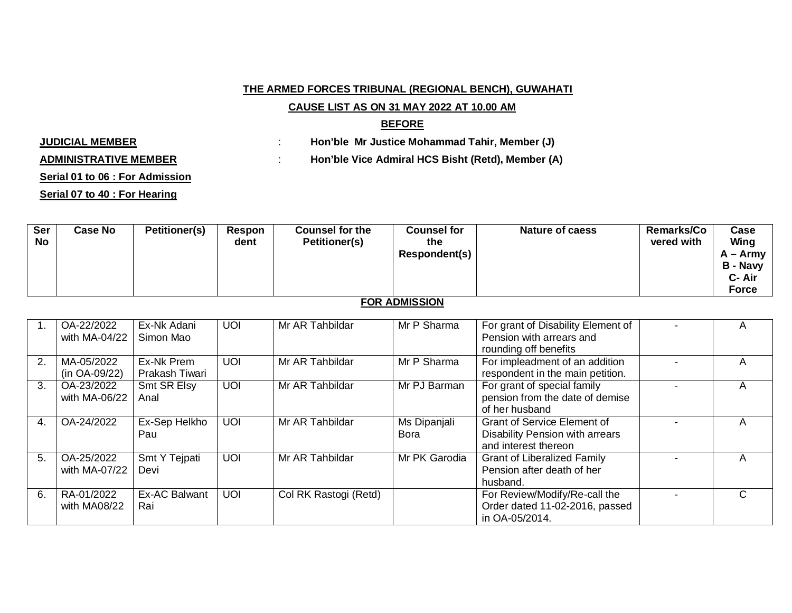### **THE ARMED FORCES TRIBUNAL (REGIONAL BENCH), GUWAHATI**

## **CAUSE LIST AS ON 31 MAY 2022 AT 10.00 AM**

### **BEFORE**

**JUDICIAL MEMBER** : **Hon'ble Mr Justice Mohammad Tahir, Member (J)**

**ADMINISTRATIVE MEMBER** : **Hon'ble Vice Admiral HCS Bisht (Retd), Member (A)**

## **Serial 01 to 06 : For Admission**

**Serial 07 to 40 : For Hearing**

| <b>Ser</b><br>No | <b>Case No</b> | <b>Petitioner(s)</b> | Respon<br>dent | <b>Counsel for the</b><br><b>Petitioner(s)</b> | <b>Counsel for</b><br>the | <b>Nature of caess</b> | <b>Remarks/Co</b><br>vered with | Case<br>Wing |
|------------------|----------------|----------------------|----------------|------------------------------------------------|---------------------------|------------------------|---------------------------------|--------------|
|                  |                |                      |                |                                                | Respondent(s)             |                        |                                 | A – Army     |
|                  |                |                      |                |                                                |                           |                        |                                 | B - Navy     |
|                  |                |                      |                |                                                |                           |                        |                                 | C- Air       |
|                  |                |                      |                |                                                |                           |                        |                                 | <b>Force</b> |

# **FOR ADMISSION**

|    | OA-22/2022<br>with MA-04/22 | Ex-Nk Adani<br>Simon Mao     | <b>UOI</b> | Mr AR Tahbildar       | Mr P Sharma          | For grant of Disability Element of<br>Pension with arrears and<br>rounding off benefits              | A |
|----|-----------------------------|------------------------------|------------|-----------------------|----------------------|------------------------------------------------------------------------------------------------------|---|
| 2. | MA-05/2022<br>(in OA-09/22) | Ex-Nk Prem<br>Prakash Tiwari | <b>UOI</b> | Mr AR Tahbildar       | Mr P Sharma          | For impleadment of an addition<br>respondent in the main petition.                                   | A |
| 3. | OA-23/2022<br>with MA-06/22 | Smt SR Elsy<br>Anal          | <b>UOI</b> | Mr AR Tahbildar       | Mr PJ Barman         | For grant of special family<br>pension from the date of demise<br>of her husband                     | A |
| 4. | OA-24/2022                  | Ex-Sep Helkho<br>Pau         | <b>UOI</b> | Mr AR Tahbildar       | Ms Dipanjali<br>Bora | <b>Grant of Service Element of</b><br><b>Disability Pension with arrears</b><br>and interest thereon | A |
| 5. | OA-25/2022<br>with MA-07/22 | Smt Y Tejpati<br>Devi        | <b>UOI</b> | Mr AR Tahbildar       | Mr PK Garodia        | Grant of Liberalized Family<br>Pension after death of her<br>husband.                                | A |
| 6. | RA-01/2022<br>with MA08/22  | Ex-AC Balwant<br>Rai         | <b>UOI</b> | Col RK Rastogi (Retd) |                      | For Review/Modify/Re-call the<br>Order dated 11-02-2016, passed<br>in OA-05/2014.                    | C |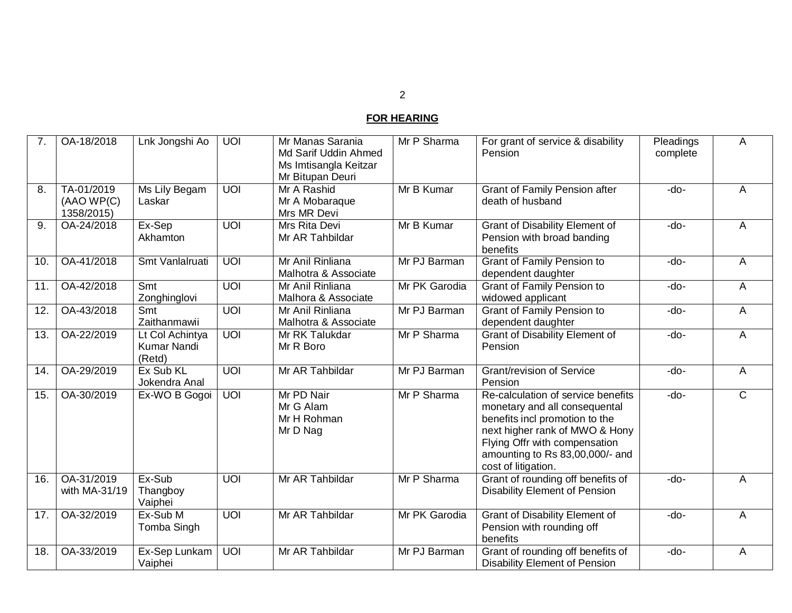# **FOR HEARING**

| 7.  | OA-18/2018                            | Lnk Jongshi Ao                                  | $\overline{U}$  | Mr Manas Sarania<br>Md Sarif Uddin Ahmed<br>Ms Imtisangla Keitzar<br>Mr Bitupan Deuri | Mr P Sharma   | For grant of service & disability<br>Pension                                                                                                                                                                                       | Pleadings<br>complete | Α              |
|-----|---------------------------------------|-------------------------------------------------|-----------------|---------------------------------------------------------------------------------------|---------------|------------------------------------------------------------------------------------------------------------------------------------------------------------------------------------------------------------------------------------|-----------------------|----------------|
| 8.  | TA-01/2019<br>(AAOWP(C)<br>1358/2015) | Ms Lily Begam<br>Laskar                         | <b>UOI</b>      | Mr A Rashid<br>Mr A Mobaraque<br>Mrs MR Devi                                          | Mr B Kumar    | <b>Grant of Family Pension after</b><br>death of husband                                                                                                                                                                           | $-do-$                | A              |
| 9.  | OA-24/2018                            | Ex-Sep<br>Akhamton                              | UOI             | Mrs Rita Devi<br>Mr AR Tahbildar                                                      | Mr B Kumar    | <b>Grant of Disability Element of</b><br>Pension with broad banding<br>benefits                                                                                                                                                    | $-do-$                | Α              |
| 10. | OA-41/2018                            | Smt Vanlalruati                                 | $\overline{10}$ | Mr Anil Rinliana<br>Malhotra & Associate                                              | Mr PJ Barman  | <b>Grant of Family Pension to</b><br>dependent daughter                                                                                                                                                                            | -do-                  | A              |
| 11. | OA-42/2018                            | Smt<br>Zonghinglovi                             | <b>UOI</b>      | Mr Anil Rinliana<br>Malhora & Associate                                               | Mr PK Garodia | <b>Grant of Family Pension to</b><br>widowed applicant                                                                                                                                                                             | -do-                  | A              |
| 12. | OA-43/2018                            | Smt<br>Zaithanmawii                             | $U$ $O$         | Mr Anil Rinliana<br>Malhotra & Associate                                              | Mr PJ Barman  | <b>Grant of Family Pension to</b><br>dependent daughter                                                                                                                                                                            | -do-                  | A              |
| 13. | OA-22/2019                            | Lt Col Achintya<br><b>Kumar Nandi</b><br>(Retd) | UOI             | Mr RK Talukdar<br>Mr R Boro                                                           | Mr P Sharma   | <b>Grant of Disability Element of</b><br>Pension                                                                                                                                                                                   | $-do-$                | A              |
| 14. | OA-29/2019                            | Ex Sub KL<br>Jokendra Anal                      | $\overline{U}$  | Mr AR Tahbildar                                                                       | Mr PJ Barman  | Grant/revision of Service<br>Pension                                                                                                                                                                                               | $-do-$                | Α              |
| 15. | OA-30/2019                            | Ex-WO B Gogoi                                   | $\overline{U}$  | Mr PD Nair<br>Mr G Alam<br>Mr H Rohman<br>Mr D Nag                                    | Mr P Sharma   | Re-calculation of service benefits<br>monetary and all consequental<br>benefits incl promotion to the<br>next higher rank of MWO & Hony<br>Flying Offr with compensation<br>amounting to Rs 83,00,000/- and<br>cost of litigation. | $-do-$                | $\overline{C}$ |
| 16. | OA-31/2019<br>with MA-31/19           | Ex-Sub<br>Thangboy<br>Vaiphei                   | <b>UOI</b>      | Mr AR Tahbildar                                                                       | Mr P Sharma   | Grant of rounding off benefits of<br><b>Disability Element of Pension</b>                                                                                                                                                          | $-do-$                | A              |
| 17. | OA-32/2019                            | Ex-Sub M<br>Tomba Singh                         | $\overline{U}$  | Mr AR Tahbildar                                                                       | Mr PK Garodia | <b>Grant of Disability Element of</b><br>Pension with rounding off<br>benefits                                                                                                                                                     | $-do-$                | Α              |
| 18. | OA-33/2019                            | Ex-Sep Lunkam<br>Vaiphei                        | $\overline{10}$ | Mr AR Tahbildar                                                                       | Mr PJ Barman  | Grant of rounding off benefits of<br><b>Disability Element of Pension</b>                                                                                                                                                          | -do-                  | A              |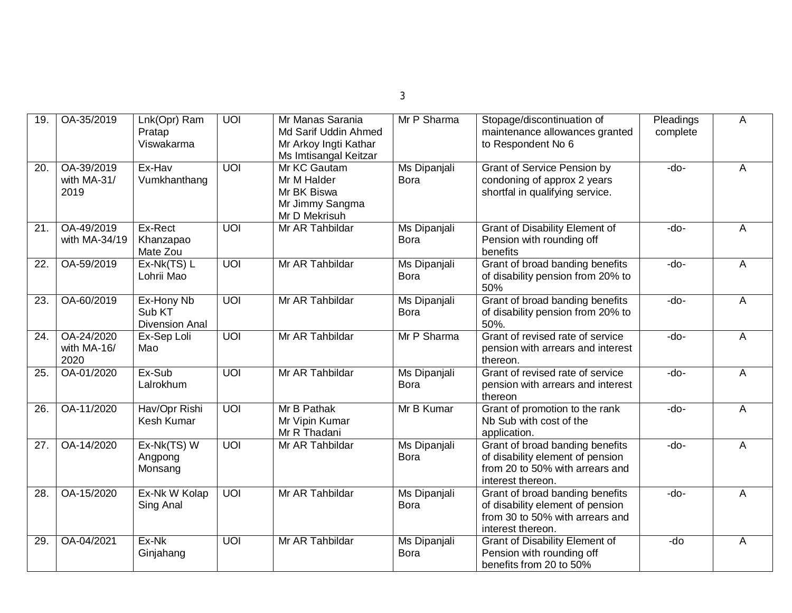| ×<br>I | I        |  |
|--------|----------|--|
|        |          |  |
|        | ۰.<br>M. |  |

| 19.               | OA-35/2019                        | Lnk(Opr) Ram<br>Pratap<br>Viswakarma          | $\overline{U}$ | Mr Manas Sarania<br>Md Sarif Uddin Ahmed<br>Mr Arkoy Ingti Kathar<br>Ms Imtisangal Keitzar | Mr P Sharma                        | Stopage/discontinuation of<br>maintenance allowances granted<br>to Respondent No 6                                          | Pleadings<br>complete | A |
|-------------------|-----------------------------------|-----------------------------------------------|----------------|--------------------------------------------------------------------------------------------|------------------------------------|-----------------------------------------------------------------------------------------------------------------------------|-----------------------|---|
| $\overline{20}$ . | OA-39/2019<br>with MA-31/<br>2019 | Ex-Hav<br>Vumkhanthang                        | $\overline{U}$ | Mr KC Gautam<br>Mr M Halder<br>Mr BK Biswa<br>Mr Jimmy Sangma<br>Mr D Mekrisuh             | Ms Dipanjali<br>Bora               | <b>Grant of Service Pension by</b><br>condoning of approx 2 years<br>shortfal in qualifying service.                        | $-do-$                | A |
| 21.               | OA-49/2019<br>with MA-34/19       | Ex-Rect<br>Khanzapao<br>Mate Zou              | $\overline{U}$ | Mr AR Tahbildar                                                                            | <b>Ms Dipanjali</b><br><b>Bora</b> | <b>Grant of Disability Element of</b><br>Pension with rounding off<br>benefits                                              | $-do-$                | A |
| 22.               | OA-59/2019                        | $Ex-Nk(TS) L$<br>Lohrii Mao                   | UOI            | Mr AR Tahbildar                                                                            | Ms Dipanjali<br><b>Bora</b>        | Grant of broad banding benefits<br>of disability pension from 20% to<br>50%                                                 | -do-                  | Α |
| $\overline{23}$   | OA-60/2019                        | Ex-Hony Nb<br>Sub KT<br><b>Divension Anal</b> | $\overline{U}$ | Mr AR Tahbildar                                                                            | Ms Dipanjali<br><b>Bora</b>        | Grant of broad banding benefits<br>of disability pension from 20% to<br>50%.                                                | $-do-$                | Α |
| 24.               | OA-24/2020<br>with MA-16/<br>2020 | Ex-Sep Loli<br>Mao                            | UOI            | Mr AR Tahbildar                                                                            | Mr P Sharma                        | Grant of revised rate of service<br>pension with arrears and interest<br>thereon.                                           | -do-                  | Α |
| 25.               | OA-01/2020                        | Ex-Sub<br>Lalrokhum                           | $\overline{U}$ | Mr AR Tahbildar                                                                            | Ms Dipanjali<br><b>Bora</b>        | Grant of revised rate of service<br>pension with arrears and interest<br>thereon                                            | -do-                  | A |
| $\overline{26}$ . | OA-11/2020                        | Hav/Opr Rishi<br>Kesh Kumar                   | UOI            | Mr B Pathak<br>Mr Vipin Kumar<br>Mr R Thadani                                              | Mr B Kumar                         | Grant of promotion to the rank<br>Nb Sub with cost of the<br>application.                                                   | $-do-$                | A |
| 27.               | OA-14/2020                        | Ex-Nk(TS) W<br>Angpong<br>Monsang             | UOI            | Mr AR Tahbildar                                                                            | Ms Dipanjali<br><b>Bora</b>        | Grant of broad banding benefits<br>of disability element of pension<br>from 20 to 50% with arrears and<br>interest thereon. | -do-                  | A |
| 28.               | OA-15/2020                        | Ex-Nk W Kolap<br>Sing Anal                    | $\overline{U}$ | Mr AR Tahbildar                                                                            | Ms Dipanjali<br><b>Bora</b>        | Grant of broad banding benefits<br>of disability element of pension<br>from 30 to 50% with arrears and<br>interest thereon. | -do-                  | A |
| 29.               | OA-04/2021                        | Ex-Nk<br>Ginjahang                            | $\overline{U}$ | Mr AR Tahbildar                                                                            | Ms Dipanjali<br><b>Bora</b>        | <b>Grant of Disability Element of</b><br>Pension with rounding off<br>benefits from 20 to 50%                               | $\overline{d}$        | A |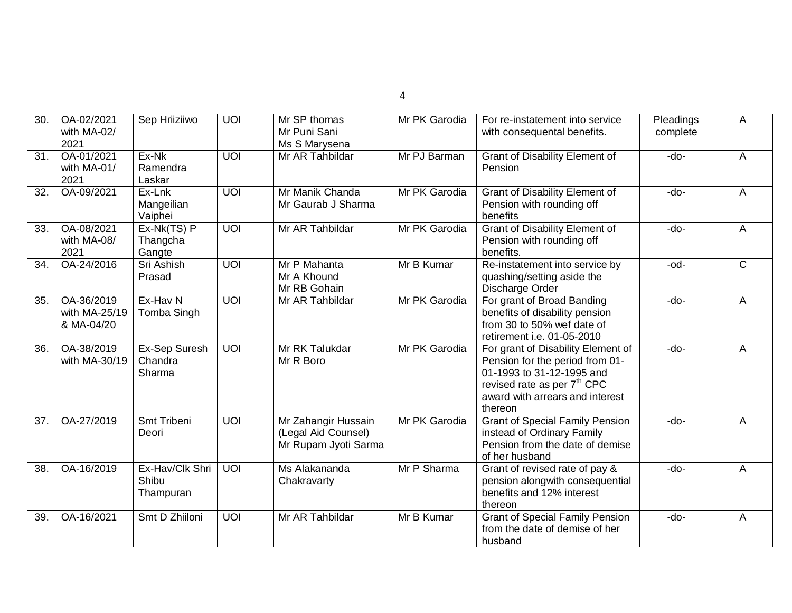| 30.               | OA-02/2021                                | Sep Hriiziiwo                         | UOI            | Mr SP thomas                                                       | Mr PK Garodia | For re-instatement into service                                                                                                                                                             | Pleadings | Α |
|-------------------|-------------------------------------------|---------------------------------------|----------------|--------------------------------------------------------------------|---------------|---------------------------------------------------------------------------------------------------------------------------------------------------------------------------------------------|-----------|---|
|                   | with MA-02/<br>2021                       |                                       |                | Mr Puni Sani<br>Ms S Marysena                                      |               | with consequental benefits.                                                                                                                                                                 | complete  |   |
| 31.               | OA-01/2021<br>with MA-01/<br>2021         | Ex-Nk<br>Ramendra<br>Laskar           | $\overline{U}$ | Mr AR Tahbildar                                                    | Mr PJ Barman  | <b>Grant of Disability Element of</b><br>Pension                                                                                                                                            | $-do-$    | A |
| 32.               | OA-09/2021                                | Ex-Lnk<br>Mangeilian<br>Vaiphei       | UOI            | Mr Manik Chanda<br>Mr Gaurab J Sharma                              | Mr PK Garodia | <b>Grant of Disability Element of</b><br>Pension with rounding off<br>benefits                                                                                                              | $-do-$    | A |
| 33.               | OA-08/2021<br>with MA-08/<br>2021         | Ex-Nk(TS) P<br>Thangcha<br>Gangte     | UOI            | Mr AR Tahbildar                                                    | Mr PK Garodia | <b>Grant of Disability Element of</b><br>Pension with rounding off<br>benefits.                                                                                                             | $-do-$    | А |
| 34.               | OA-24/2016                                | Sri Ashish<br>Prasad                  | UOI            | Mr P Mahanta<br>Mr A Khound<br>Mr RB Gohain                        | Mr B Kumar    | Re-instatement into service by<br>quashing/setting aside the<br>Discharge Order                                                                                                             | -od-      | C |
| 35.               | OA-36/2019<br>with MA-25/19<br>& MA-04/20 | Ex-Hav N<br>Tomba Singh               | $\overline{U}$ | Mr AR Tahbildar                                                    | Mr PK Garodia | For grant of Broad Banding<br>benefits of disability pension<br>from 30 to 50% wef date of<br>retirement i.e. 01-05-2010                                                                    | $-do-$    | A |
| 36.               | OA-38/2019<br>with MA-30/19               | Ex-Sep Suresh<br>Chandra<br>Sharma    | $\overline{U}$ | Mr RK Talukdar<br>Mr R Boro                                        | Mr PK Garodia | For grant of Disability Element of<br>Pension for the period from 01-<br>01-1993 to 31-12-1995 and<br>revised rate as per 7 <sup>th</sup> CPC<br>award with arrears and interest<br>thereon | $-do-$    | A |
| 37.               | OA-27/2019                                | Smt Tribeni<br>Deori                  | <b>UOI</b>     | Mr Zahangir Hussain<br>(Legal Aid Counsel)<br>Mr Rupam Jyoti Sarma | Mr PK Garodia | <b>Grant of Special Family Pension</b><br>instead of Ordinary Family<br>Pension from the date of demise<br>of her husband                                                                   | -do-      | A |
| $\overline{38}$ . | OA-16/2019                                | Ex-Hav/Clk Shri<br>Shibu<br>Thampuran | $\overline{U}$ | Ms Alakananda<br>Chakravarty                                       | Mr P Sharma   | Grant of revised rate of pay &<br>pension alongwith consequential<br>benefits and 12% interest<br>thereon                                                                                   | $-do-$    | А |
| 39.               | OA-16/2021                                | Smt D Zhiiloni                        | UOI            | Mr AR Tahbildar                                                    | Mr B Kumar    | <b>Grant of Special Family Pension</b><br>from the date of demise of her<br>husband                                                                                                         | $-do-$    | A |